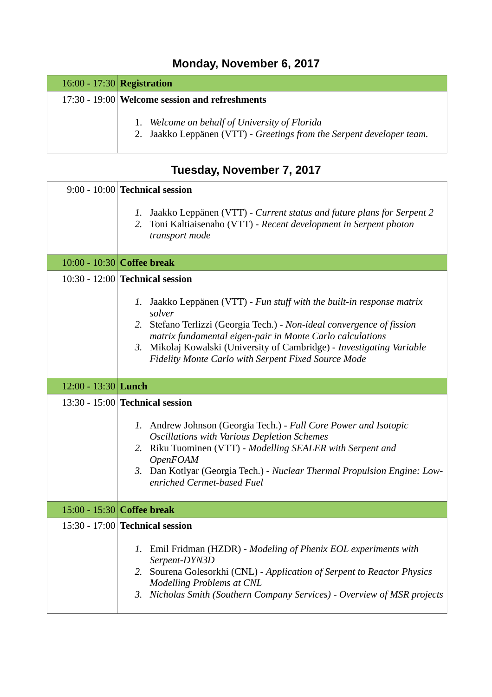## **Monday, November 6, 2017**

#### 16:00 - 17:30 **Registration**

#### 17:30 - 19:00 **Welcome session and refreshments**

- 1. *Welcome on behalf of University of Florida*
- 2. Jaakko Leppänen (VTT) *Greetings from the Serpent developer team.*

## **Tuesday, November 7, 2017**

|                     | $9:00 - 10:00$ Technical session                                                                                                                                                                                                                                                                                  |
|---------------------|-------------------------------------------------------------------------------------------------------------------------------------------------------------------------------------------------------------------------------------------------------------------------------------------------------------------|
|                     | 1. Jaakko Leppänen (VTT) - Current status and future plans for Serpent 2<br>2. Toni Kaltiaisenaho (VTT) - Recent development in Serpent photon<br>transport mode                                                                                                                                                  |
|                     | 10:00 - 10:30 Coffee break                                                                                                                                                                                                                                                                                        |
|                     | $10:30 - 12:00$ Technical session                                                                                                                                                                                                                                                                                 |
|                     | 1. Jaakko Leppänen (VTT) - Fun stuff with the built-in response matrix<br>solver<br>2. Stefano Terlizzi (Georgia Tech.) - Non-ideal convergence of fission                                                                                                                                                        |
|                     | matrix fundamental eigen-pair in Monte Carlo calculations<br>3. Mikolaj Kowalski (University of Cambridge) - Investigating Variable<br>Fidelity Monte Carlo with Serpent Fixed Source Mode                                                                                                                        |
| 12:00 - 13:30 Lunch |                                                                                                                                                                                                                                                                                                                   |
|                     | 13:30 - 15:00 Technical session                                                                                                                                                                                                                                                                                   |
|                     | 1. Andrew Johnson (Georgia Tech.) - Full Core Power and Isotopic<br><b>Oscillations with Various Depletion Schemes</b><br>2. Riku Tuominen (VTT) - Modelling SEALER with Serpent and<br><b>OpenFOAM</b><br>3. Dan Kotlyar (Georgia Tech.) - Nuclear Thermal Propulsion Engine: Low-<br>enriched Cermet-based Fuel |
|                     | 15:00 - 15:30 Coffee break                                                                                                                                                                                                                                                                                        |
|                     | 15:30 - 17:00 Technical session                                                                                                                                                                                                                                                                                   |
|                     | 1. Emil Fridman (HZDR) - Modeling of Phenix EOL experiments with<br>Serpent-DYN3D                                                                                                                                                                                                                                 |
|                     | 2. Sourena Golesorkhi (CNL) - Application of Serpent to Reactor Physics<br><b>Modelling Problems at CNL</b>                                                                                                                                                                                                       |
|                     | 3. Nicholas Smith (Southern Company Services) - Overview of MSR projects                                                                                                                                                                                                                                          |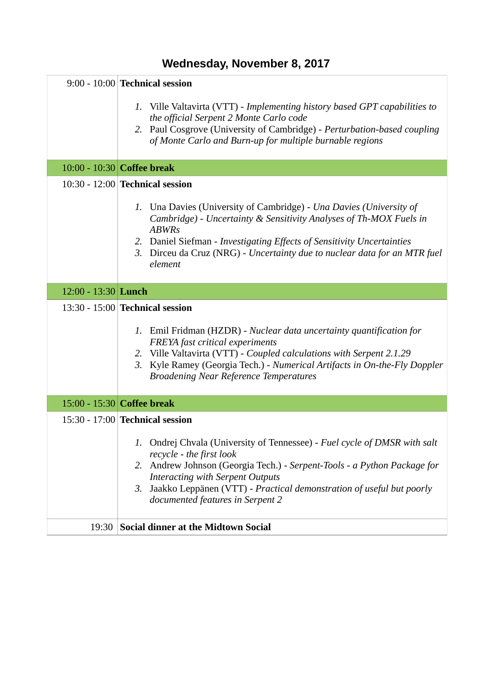## **Wednesday, November 8, 2017**

|                     | 9:00 - 10:00 Technical session                                                                                                                                                                                                                                                                                                              |
|---------------------|---------------------------------------------------------------------------------------------------------------------------------------------------------------------------------------------------------------------------------------------------------------------------------------------------------------------------------------------|
|                     | 1. Ville Valtavirta (VTT) - Implementing history based GPT capabilities to<br>the official Serpent 2 Monte Carlo code<br>2. Paul Cosgrove (University of Cambridge) - Perturbation-based coupling<br>of Monte Carlo and Burn-up for multiple burnable regions                                                                               |
|                     | 10:00 - 10:30 Coffee break                                                                                                                                                                                                                                                                                                                  |
|                     | 10:30 - 12:00 Technical session                                                                                                                                                                                                                                                                                                             |
|                     | 1. Una Davies (University of Cambridge) - Una Davies (University of<br>Cambridge) - Uncertainty & Sensitivity Analyses of Th-MOX Fuels in<br><b>ABWRs</b><br>2. Daniel Siefman - Investigating Effects of Sensitivity Uncertainties<br>3. Dirceu da Cruz (NRG) - Uncertainty due to nuclear data for an MTR fuel<br>element                 |
| 12:00 - 13:30 Lunch |                                                                                                                                                                                                                                                                                                                                             |
|                     | 13:30 - 15:00 <b>Technical session</b>                                                                                                                                                                                                                                                                                                      |
|                     | 1. Emil Fridman (HZDR) - Nuclear data uncertainty quantification for<br>FREYA fast critical experiments<br>2. Ville Valtavirta (VTT) - Coupled calculations with Serpent 2.1.29<br>3. Kyle Ramey (Georgia Tech.) - Numerical Artifacts in On-the-Fly Doppler<br><b>Broadening Near Reference Temperatures</b>                               |
|                     | 15:00 - 15:30 Coffee break                                                                                                                                                                                                                                                                                                                  |
|                     | 15:30 - 17:00 Technical session                                                                                                                                                                                                                                                                                                             |
|                     | 1. Ondrej Chvala (University of Tennessee) - Fuel cycle of DMSR with salt<br>recycle - the first look<br>2. Andrew Johnson (Georgia Tech.) - Serpent-Tools - a Python Package for<br><b>Interacting with Serpent Outputs</b><br>3. Jaakko Leppänen (VTT) - Practical demonstration of useful but poorly<br>documented features in Serpent 2 |
| 19:30               | <b>Social dinner at the Midtown Social</b>                                                                                                                                                                                                                                                                                                  |